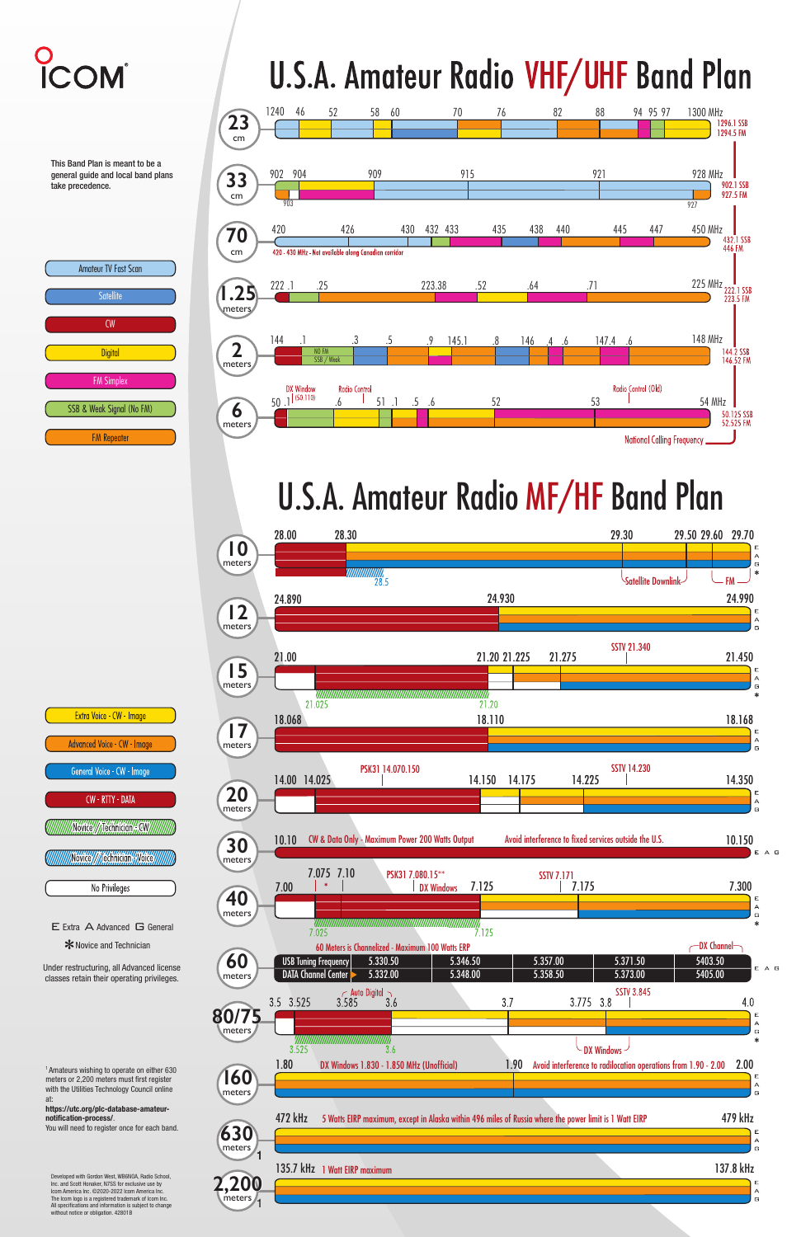

## **U.S.A. Amateur Radio VHF/UHF Band Plan**

### U.S.A. Amateur Radio MF/HF Band Plan





# O<br>ICOM

This Band Plan is meant to be a general guide and local band plans take precedence.